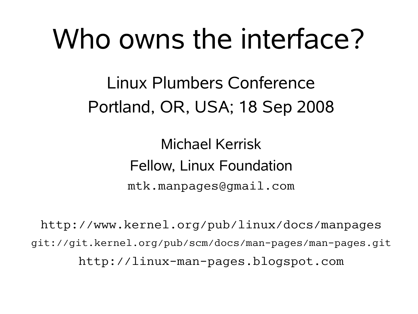## Who owns the interface?

Linux Plumbers Conference Portland, OR, USA; 18 Sep 2008

> Michael Kerrisk Fellow, Linux Foundation mtk.manpages@gmail.com

http://www.kernel.org/pub/linux/docs/manpages git://git.kernel.org/pub/scm/docs/man-pages/man-pages.git http://linux-man-pages.blogspot.com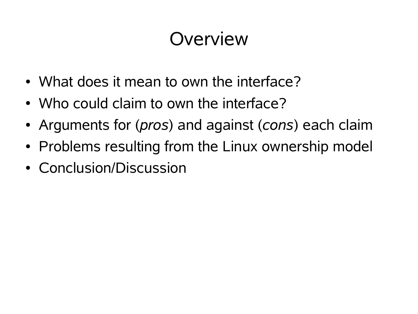#### Overview

- What does it mean to own the interface?
- Who could claim to own the interface?
- Arguments for (*pros*) and against (*cons*) each claim
- Problems resulting from the Linux ownership model
- Conclusion/Discussion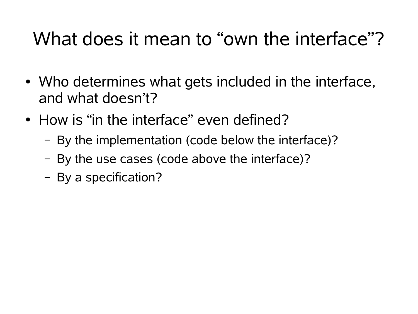## What does it mean to "own the interface"?

- Who determines what gets included in the interface, and what doesn't?
- How is "in the interface" even defined?
	- By the implementation (code below the interface)?
	- By the use cases (code above the interface)?
	- By a specification?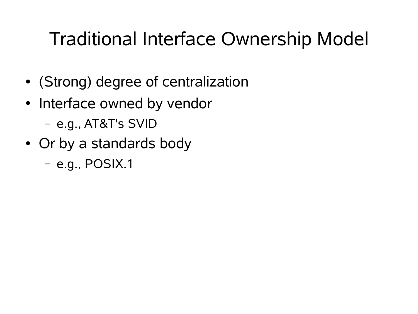## Traditional Interface Ownership Model

- (Strong) degree of centralization
- Interface owned by vendor
	- e.g., AT&T's SVID
- Or by a standards body

– e.g., POSIX.1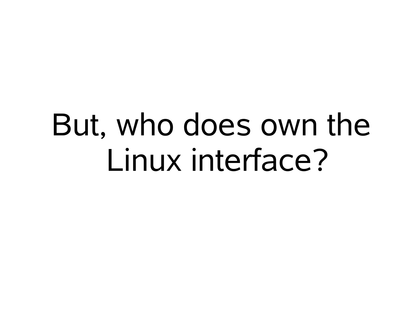# But, who does own the Linux interface?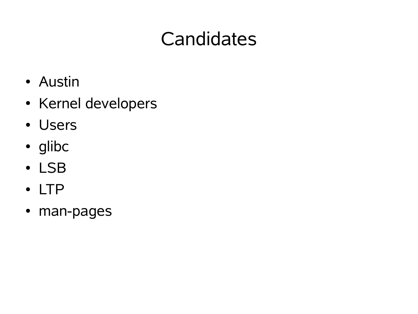## **Candidates**

- Austin
- Kernel developers
- Users
- glibc
- LSB
- LTP
- man-pages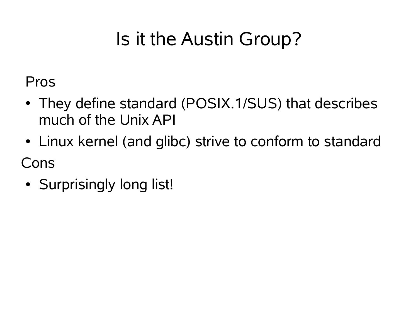## Is it the Austin Group?

Pros

- They define standard (POSIX.1/SUS) that describes much of the Unix API
- Linux kernel (and glibc) strive to conform to standard

Cons

• Surprisingly long list!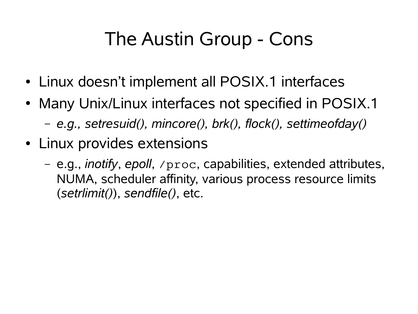## The Austin Group - Cons

- Linux doesn't implement all POSIX.1 interfaces
- Many Unix/Linux interfaces not specified in POSIX.1
	- *e.g., setresuid(), mincore(), brk(), flock(), settimeofday()*
- Linux provides extensions
	- e.g., *inotify*, *epoll*, /proc, capabilities, extended attributes, NUMA, scheduler affinity, various process resource limits (*setrlimit()*), *sendfile()*, etc.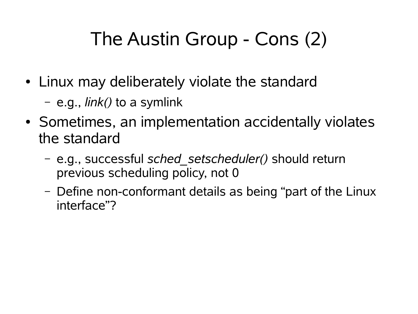## The Austin Group - Cons (2)

- Linux may deliberately violate the standard
	- e.g., *link()* to a symlink
- Sometimes, an implementation accidentally violates the standard
	- e.g., successful *sched\_setscheduler()* should return previous scheduling policy, not 0
	- Define non-conformant details as being "part of the Linux interface"?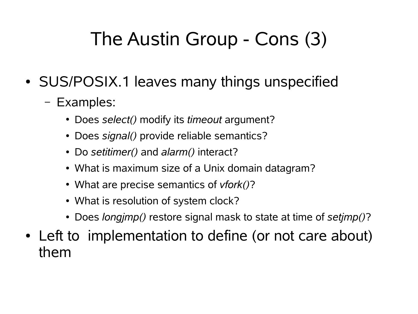## The Austin Group - Cons (3)

- SUS/POSIX.1 leaves many things unspecified
	- Examples:
		- Does *select()* modify its *timeout* argument?
		- Does *signal()* provide reliable semantics?
		- Do *setitimer()* and *alarm()* interact?
		- What is maximum size of a Unix domain datagram?
		- What are precise semantics of *vfork()*?
		- What is resolution of system clock?
		- Does *longjmp()* restore signal mask to state at time of *setjmp()*?
- Left to implementation to define (or not care about) them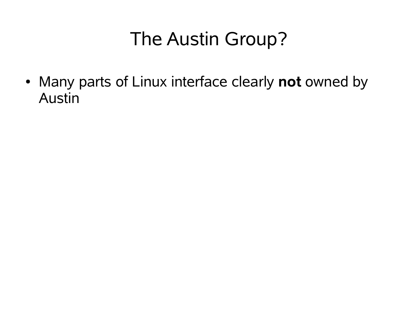## The Austin Group?

• Many parts of Linux interface clearly **not** owned by Austin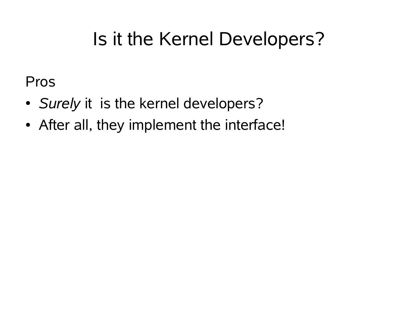## Is it the Kernel Developers?

Pros

- *Surely* it is the kernel developers?
- After all, they implement the interface!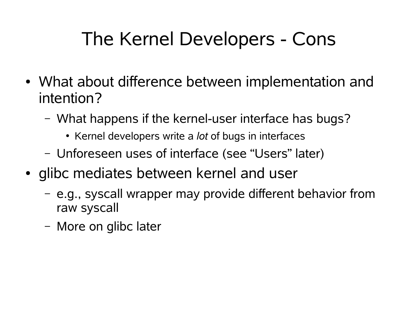## The Kernel Developers - Cons

- What about difference between implementation and intention?
	- What happens if the kernel-user interface has bugs?
		- Kernel developers write a *lot* of bugs in interfaces
	- Unforeseen uses of interface (see "Users" later)
- glibc mediates between kernel and user
	- e.g., syscall wrapper may provide different behavior from raw syscall
	- More on glibc later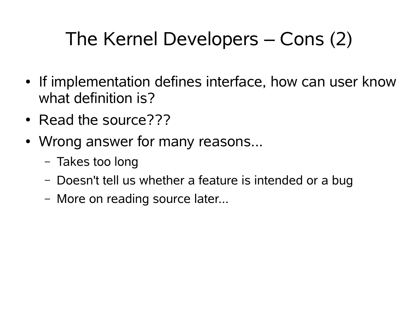## The Kernel Developers – Cons (2)

- If implementation defines interface, how can user know what definition is?
- Read the source???
- Wrong answer for many reasons...
	- Takes too long
	- Doesn't tell us whether a feature is intended or a bug
	- More on reading source later...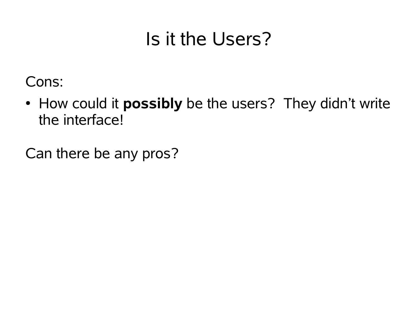## Is it the Users?

Cons:

• How could it **possibly** be the users? They didn't write the interface!

Can there be any pros?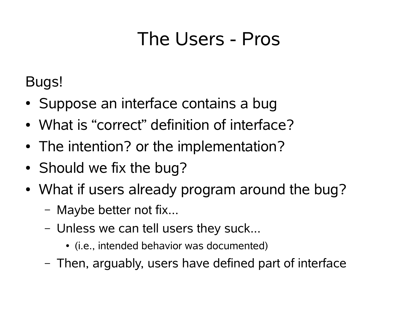#### The Users - Pros

Bugs!

- Suppose an interface contains a bug
- What is "correct" definition of interface?
- The intention? or the implementation?
- Should we fix the bug?
- What if users already program around the bug?
	- Maybe better not fix...
	- Unless we can tell users they suck...
		- (i.e., intended behavior was documented)
	- Then, arguably, users have defined part of interface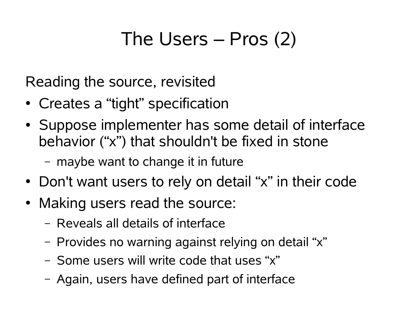## The Users – Pros (2)

Reading the source, revisited

- Creates a "tight" specification
- Suppose implementer has some detail of interface behavior ("x") that shouldn't be fixed in stone
	- maybe want to change it in future
- Don't want users to rely on detail "x" in their code
- Making users read the source:
	- Reveals all details of interface
	- Provides no warning against relying on detail "x"
	- Some users will write code that uses "x"
	- Again, users have defined part of interface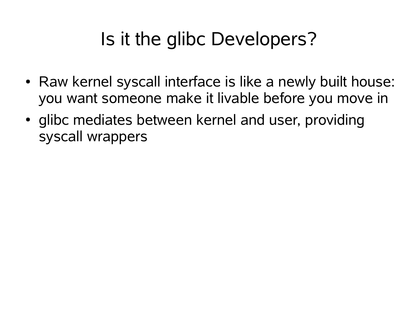## Is it the glibc Developers?

- Raw kernel syscall interface is like a newly built house: you want someone make it livable before you move in
- glibc mediates between kernel and user, providing syscall wrappers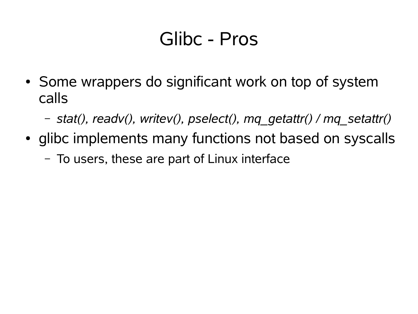#### Glibc - Pros

- Some wrappers do significant work on top of system calls
	- *stat(), readv(), writev(), pselect(), mq\_getattr() / mq\_setattr()*
- glibc implements many functions not based on syscalls
	- To users, these are part of Linux interface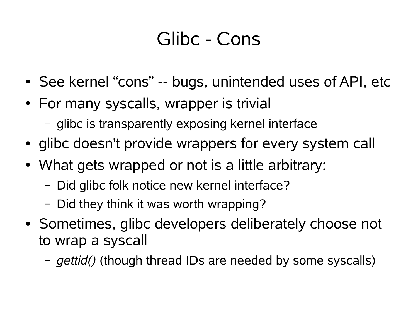#### Glibc - Cons

- See kernel "cons" -- bugs, unintended uses of API, etc
- For many syscalls, wrapper is trivial
	- glibc is transparently exposing kernel interface
- glibc doesn't provide wrappers for every system call
- What gets wrapped or not is a little arbitrary:
	- Did glibc folk notice new kernel interface?
	- Did they think it was worth wrapping?
- Sometimes, glibc developers deliberately choose not to wrap a syscall
	- *gettid()* (though thread IDs are needed by some syscalls)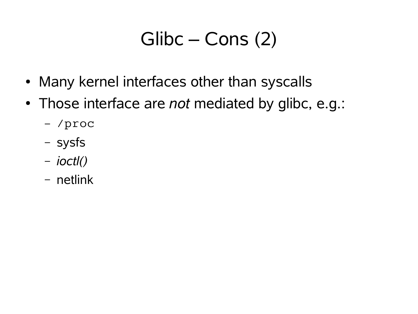## Glibc – Cons (2)

- Many kernel interfaces other than syscalls
- Those interface are *not* mediated by glibc, e.g.:
	- /proc
	- sysfs
	- *ioctl()*
	- netlink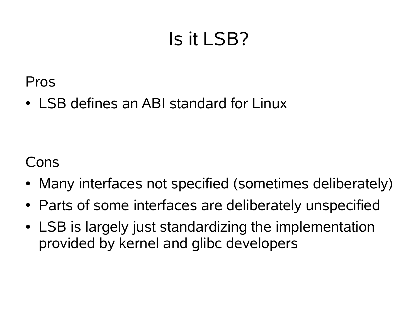## Is it LSB?

Pros

• LSB defines an ABI standard for Linux

Cons

- Many interfaces not specified (sometimes deliberately)
- Parts of some interfaces are deliberately unspecified
- LSB is largely just standardizing the implementation provided by kernel and glibc developers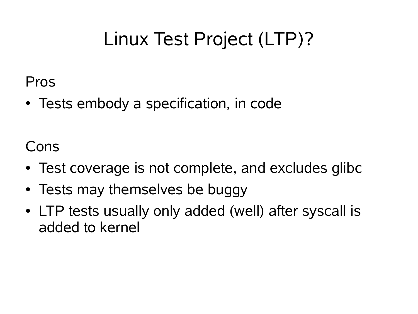## Linux Test Project (LTP)?

Pros

• Tests embody a specification, in code

Cons

- Test coverage is not complete, and excludes glibc
- Tests may themselves be buggy
- LTP tests usually only added (well) after syscall is added to kernel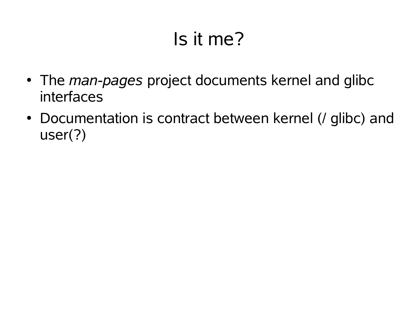## Is it me?

- The *man-pages* project documents kernel and glibc interfaces
- Documentation is contract between kernel (/ glibc) and user(?)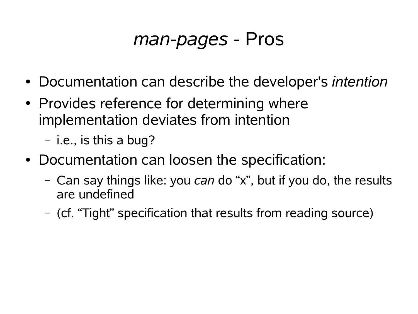#### *man-pages* - Pros

- Documentation can describe the developer's *intention*
- Provides reference for determining where implementation deviates from intention

– i.e., is this a bug?

- Documentation can loosen the specification:
	- Can say things like: you *can* do "x", but if you do, the results are undefined
	- (cf. "Tight" specification that results from reading source)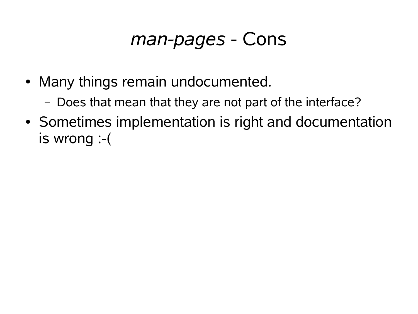#### *man-pages* - Cons

- Many things remain undocumented.
	- Does that mean that they are not part of the interface?
- Sometimes implementation is right and documentation is wrong :-(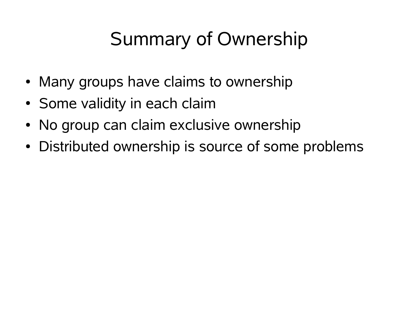## Summary of Ownership

- Many groups have claims to ownership
- Some validity in each claim
- No group can claim exclusive ownership
- Distributed ownership is source of some problems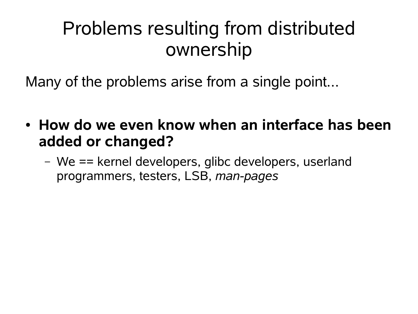Many of the problems arise from a single point...

- How do we even know when an interface has been **added or changed?**
	- We == kernel developers, glibc developers, userland programmers, testers, LSB, *man-pages*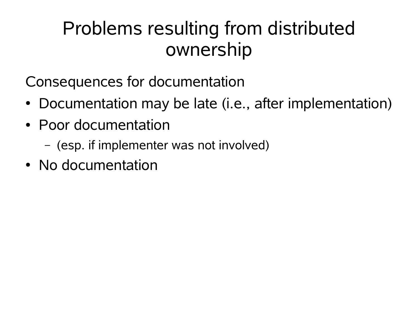Consequences for documentation

- Documentation may be late (i.e., after implementation)
- Poor documentation
	- (esp. if implementer was not involved)
- No documentation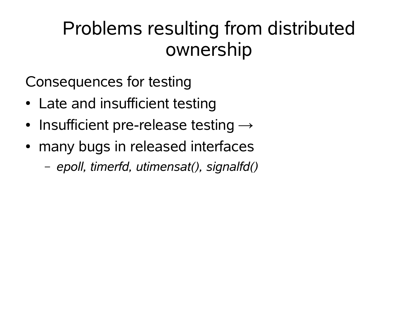Consequences for testing

- Late and insufficient testing
- Insufficient pre-release testing  $\rightarrow$
- many bugs in released interfaces
	- *epoll, timerfd, utimensat(), signalfd()*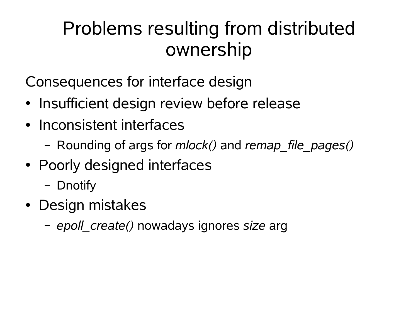Consequences for interface design

- Insufficient design review before release
- Inconsistent interfaces
	- Rounding of args for *mlock()* and *remap\_file\_pages()*
- Poorly designed interfaces
	- Dnotify
- Design mistakes
	- *epoll\_create()* nowadays ignores *size* arg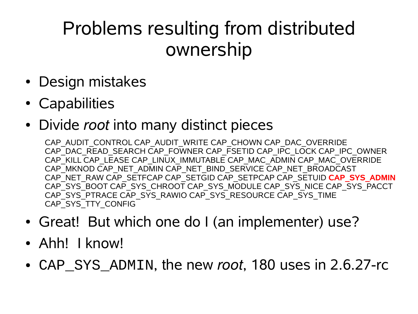- Design mistakes
- Capabilities
- Divide *root* into many distinct pieces

CAP\_AUDIT\_CONTROL CAP\_AUDIT\_WRITE CAP\_CHOWN CAP\_DAC\_OVERRIDE CAP\_DAC\_READ\_SEARCH CAP\_FOWNER CAP\_FSETID CAP\_IPC\_LOCK CAP\_IPC\_OWNER CAP\_KILL CAP\_LEASE CAP\_LINUX\_IMMUTABLE CAP\_MAC\_ADMIN CAP\_MAC\_OVERRIDE CAP\_MKNOD CAP\_NET\_ADMIN CAP\_NET\_BIND\_SERVICE CAP\_NET\_BROADCAST CAP\_NET\_RAW CAP\_SETFCAP CAP\_SETGID CAP\_SETPCAP CAP\_SETUID **CAP\_SYS\_ADMIN** CAP\_SYS\_BOOT CAP\_SYS\_CHROOT CAP\_SYS\_MODULE CAP\_SYS\_NICE CAP\_SYS\_PACCT CAP\_SYS\_PTRACE CAP\_SYS\_RAWIO CAP\_SYS\_RESOURCE CAP\_SYS\_TIME CAP\_SYS\_TTY\_CONFIG

- Great! But which one do I (an implementer) use?
- Ahh! I know!
- CAP SYS ADMIN, the new *root*, 180 uses in 2.6.27-rc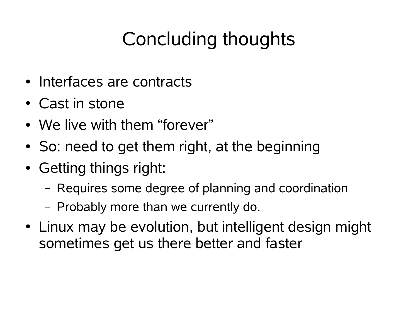## Concluding thoughts

- Interfaces are contracts
- Cast in stone
- We live with them "forever"
- So: need to get them right, at the beginning
- Getting things right:
	- Requires some degree of planning and coordination
	- Probably more than we currently do.
- Linux may be evolution, but intelligent design might sometimes get us there better and faster